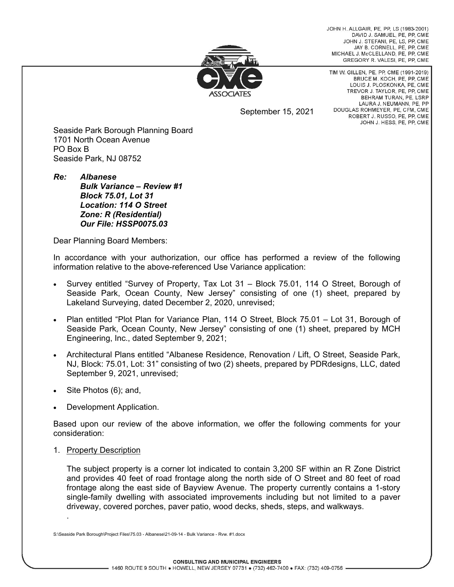JOHN H. ALLGAIR, PE, PP, LS (1983-2001) DAVID J. SAMUEL, PE, PP, CME JOHN J. STEFANI, PE, LS, PP, CME JAY B. CORNELL, PE, PP, CME MICHAEL J. McCLELLAND, PE. PP. CME GREGORY R. VALESI, PE, PP, CME



September 15, 2021

TIM W. GILLEN, PE, PP, CME (1991-2019) BRUCE M. KOCH, PE, PP, CME LOUIS J. PLOSKONKA, PE, CME TREVOR J. TAYLOR, PE, PP, CME BEHRAM TURAN, PE. LSRP LAURA J. NEUMANN, PE, PP DOUGLAS ROHMEYER, PE, CFM, CME ROBERT J. RUSSO, PE, PP, CME JOHN J. HESS, PE, PP, CME

Seaside Park Borough Planning Board 1701 North Ocean Avenue PO Box B Seaside Park, NJ 08752

*Re: Albanese Bulk Variance – Review #1 Block 75.01, Lot 31 Location: 114 O Street Zone: R (Residential) Our File: HSSP0075.03* 

Dear Planning Board Members:

In accordance with your authorization, our office has performed a review of the following information relative to the above-referenced Use Variance application:

- Survey entitled "Survey of Property, Tax Lot 31 Block 75.01, 114 O Street, Borough of Seaside Park, Ocean County, New Jersey" consisting of one (1) sheet, prepared by Lakeland Surveying, dated December 2, 2020, unrevised;
- Plan entitled "Plot Plan for Variance Plan, 114 O Street, Block 75.01 Lot 31, Borough of Seaside Park, Ocean County, New Jersey" consisting of one (1) sheet, prepared by MCH Engineering, Inc., dated September 9, 2021;
- Architectural Plans entitled "Albanese Residence, Renovation / Lift, O Street, Seaside Park, NJ, Block: 75.01, Lot: 31" consisting of two (2) sheets, prepared by PDRdesigns, LLC, dated September 9, 2021, unrevised;
- Site Photos (6); and,
- Development Application.

Based upon our review of the above information, we offer the following comments for your consideration:

1. Property Description

.

The subject property is a corner lot indicated to contain 3,200 SF within an R Zone District and provides 40 feet of road frontage along the north side of O Street and 80 feet of road frontage along the east side of Bayview Avenue. The property currently contains a 1-story single-family dwelling with associated improvements including but not limited to a paver driveway, covered porches, paver patio, wood decks, sheds, steps, and walkways.

S:\Seaside Park Borough\Project Files\75.03 - Albanese\21-09-14 - Bulk Variance - Rvw. #1.docx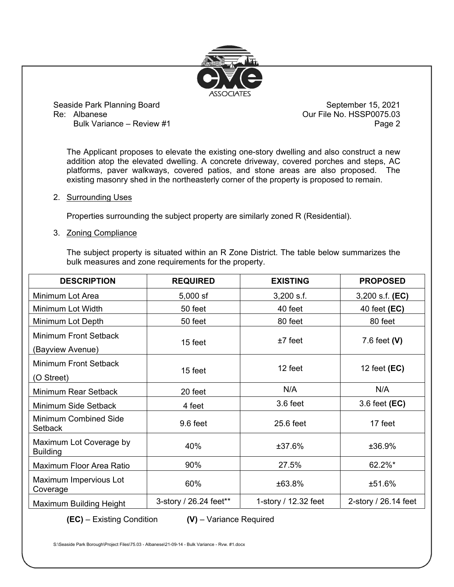

Bulk Variance – Review #1 **Page 2** Page 2

The Applicant proposes to elevate the existing one-story dwelling and also construct a new addition atop the elevated dwelling. A concrete driveway, covered porches and steps, AC platforms, paver walkways, covered patios, and stone areas are also proposed. The existing masonry shed in the northeasterly corner of the property is proposed to remain.

## 2. Surrounding Uses

Properties surrounding the subject property are similarly zoned R (Residential).

## 3. Zoning Compliance

The subject property is situated within an R Zone District. The table below summarizes the bulk measures and zone requirements for the property.

| <b>DESCRIPTION</b>                         | <b>REQUIRED</b>        | <b>EXISTING</b>      | <b>PROPOSED</b>      |
|--------------------------------------------|------------------------|----------------------|----------------------|
| Minimum Lot Area                           | $5,000$ sf             | $3,200$ s.f.         | 3,200 s.f. (EC)      |
| Minimum Lot Width                          | 50 feet                | 40 feet              | 40 feet (EC)         |
| Minimum Lot Depth                          | 50 feet                | 80 feet              | 80 feet              |
| Minimum Front Setback<br>(Bayview Avenue)  | 15 feet                | $±7$ feet            | 7.6 feet $(V)$       |
| Minimum Front Setback<br>(O Street)        | 15 feet                | 12 feet              | 12 feet (EC)         |
| Minimum Rear Setback                       | 20 feet                | N/A                  | N/A                  |
| Minimum Side Setback                       | 4 feet                 | 3.6 feet             | 3.6 feet (EC)        |
| <b>Minimum Combined Side</b><br>Setback    | 9.6 feet               | 25.6 feet            | 17 feet              |
| Maximum Lot Coverage by<br><b>Building</b> | 40%                    | ±37.6%               | ±36.9%               |
| Maximum Floor Area Ratio                   | 90%                    | 27.5%                | 62.2%*               |
| Maximum Impervious Lot<br>Coverage         | 60%                    | ±63.8%               | ±51.6%               |
| Maximum Building Height                    | 3-story / 26.24 feet** | 1-story / 12.32 feet | 2-story / 26.14 feet |

**(EC)** – Existing Condition **(V)** – Variance Required

S:\Seaside Park Borough\Project Files\75.03 - Albanese\21-09-14 - Bulk Variance - Rvw. #1.docx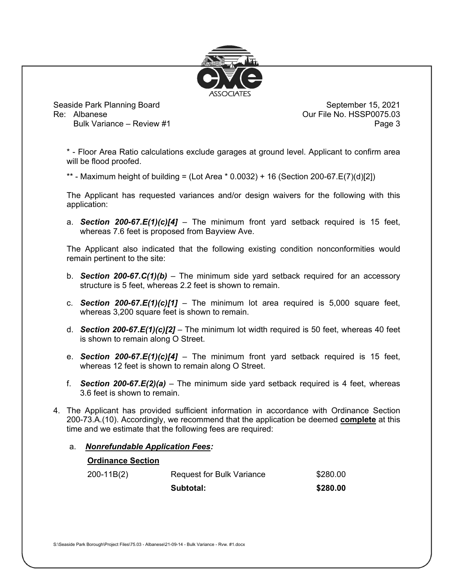

Bulk Variance – Review #1 **Page 3** 

\* - Floor Area Ratio calculations exclude garages at ground level. Applicant to confirm area will be flood proofed.

\*\* - Maximum height of building = (Lot Area \* 0.0032) + 16 (Section 200-67.E(7)(d)[2])

The Applicant has requested variances and/or design waivers for the following with this application:

a. *Section 200-67.E(1)(c)[4]* – The minimum front yard setback required is 15 feet, whereas 7.6 feet is proposed from Bayview Ave.

The Applicant also indicated that the following existing condition nonconformities would remain pertinent to the site:

- b. *Section 200-67.C(1)(b)*  The minimum side yard setback required for an accessory structure is 5 feet, whereas 2.2 feet is shown to remain.
- c. *Section 200-67.E(1)(c)[1]*  The minimum lot area required is 5,000 square feet, whereas 3,200 square feet is shown to remain.
- d. *Section 200-67.E(1)(c)[2]*  The minimum lot width required is 50 feet, whereas 40 feet is shown to remain along O Street.
- e. *Section 200-67.E(1)(c)[4]*  The minimum front yard setback required is 15 feet, whereas 12 feet is shown to remain along O Street.
- f. *Section 200-67.E(2)(a)*  The minimum side yard setback required is 4 feet, whereas 3.6 feet is shown to remain.
- 4. The Applicant has provided sufficient information in accordance with Ordinance Section 200-73.A.(10). Accordingly, we recommend that the application be deemed **complete** at this time and we estimate that the following fees are required:
	- a. *Nonrefundable Application Fees:*

|  |  | <b>Ordinance Section</b> |  |  |
|--|--|--------------------------|--|--|
|--|--|--------------------------|--|--|

| $200-11B(2)$ | Request for Bulk Variance | \$280.00 |
|--------------|---------------------------|----------|
|              | Subtotal:                 | \$280.00 |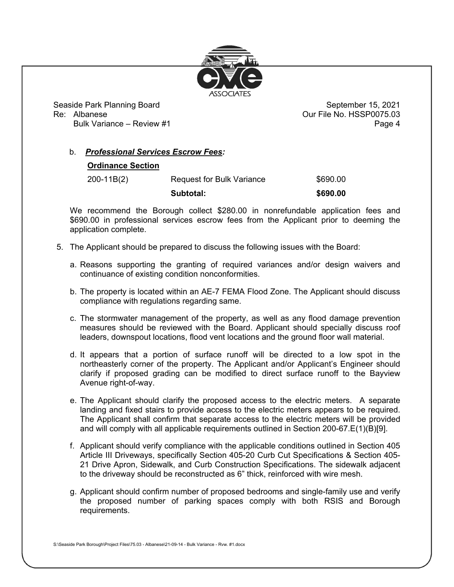

Bulk Variance – Review #1 **Page 4** Page 4

## b. *Professional Services Escrow Fees:*

## **Ordinance Section**

200-11B(2) Request for Bulk Variance \$690.00

**Subtotal: \$690.00** 

We recommend the Borough collect \$280.00 in nonrefundable application fees and \$690.00 in professional services escrow fees from the Applicant prior to deeming the application complete.

- 5. The Applicant should be prepared to discuss the following issues with the Board:
	- a. Reasons supporting the granting of required variances and/or design waivers and continuance of existing condition nonconformities.
	- b. The property is located within an AE-7 FEMA Flood Zone. The Applicant should discuss compliance with regulations regarding same.
	- c. The stormwater management of the property, as well as any flood damage prevention measures should be reviewed with the Board. Applicant should specially discuss roof leaders, downspout locations, flood vent locations and the ground floor wall material.
	- d. It appears that a portion of surface runoff will be directed to a low spot in the northeasterly corner of the property. The Applicant and/or Applicant's Engineer should clarify if proposed grading can be modified to direct surface runoff to the Bayview Avenue right-of-way.
	- e. The Applicant should clarify the proposed access to the electric meters. A separate landing and fixed stairs to provide access to the electric meters appears to be required. The Applicant shall confirm that separate access to the electric meters will be provided and will comply with all applicable requirements outlined in Section 200-67.E(1)(B)[9].
	- f. Applicant should verify compliance with the applicable conditions outlined in Section 405 Article III Driveways, specifically Section 405-20 Curb Cut Specifications & Section 405- 21 Drive Apron, Sidewalk, and Curb Construction Specifications. The sidewalk adjacent to the driveway should be reconstructed as 6" thick, reinforced with wire mesh.
	- g. Applicant should confirm number of proposed bedrooms and single-family use and verify the proposed number of parking spaces comply with both RSIS and Borough requirements.

S:\Seaside Park Borough\Project Files\75.03 - Albanese\21-09-14 - Bulk Variance - Rvw. #1.docx